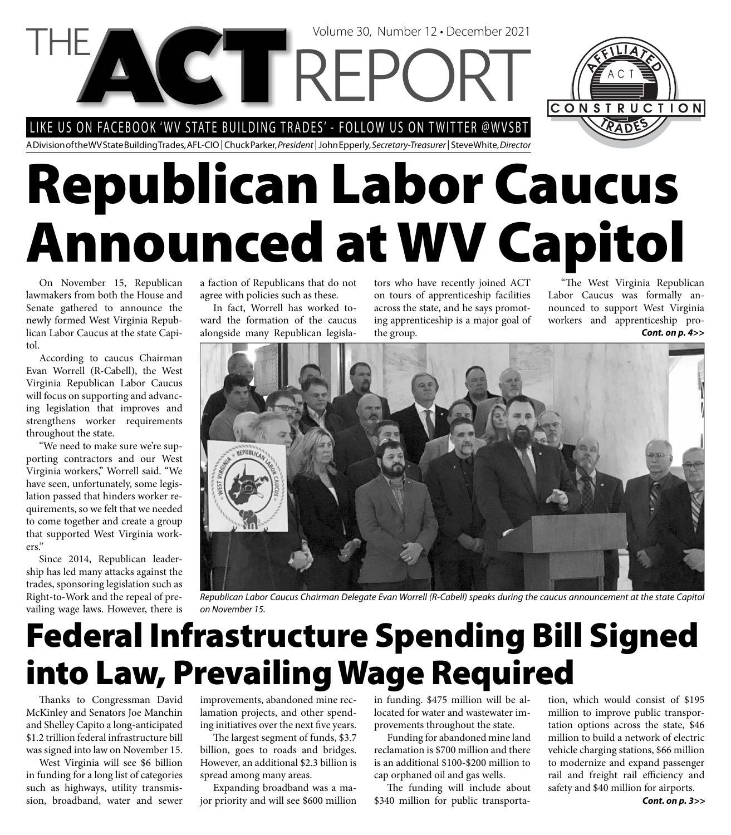LIKE US ON FACEBOOK 'WV STATE BUILDING TRADES' - FOLLOW US ON TWITTER @WVSBT

A Division of the WV State Building Trades, AFL-CIO | Chuck Parker, President | John Epperly, Secretary-Treasurer | Steve White, Director

**NGTTREPC** 

# **Republican Labor Caucus Announced at WV Capitol**

On November 15, Republican lawmakers from both the House and Senate gathered to announce the newly formed West Virginia Republican Labor Caucus at the state Capitol.

According to caucus Chairman Evan Worrell (R-Cabell), the West Virginia Republican Labor Caucus will focus on supporting and advancing legislation that improves and strengthens worker requirements throughout the state.

"We need to make sure we're supporting contractors and our West Virginia workers," Worrell said. "We have seen, unfortunately, some legislation passed that hinders worker requirements, so we felt that we needed to come together and create a group that supported West Virginia workers."

Since 2014, Republican leadership has led many attacks against the trades, sponsoring legislation such as Right-to-Work and the repeal of prevailing wage laws. However, there is a faction of Republicans that do not agree with policies such as these.

In fact, Worrell has worked toward the formation of the caucus alongside many Republican legislators who have recently joined ACT on tours of apprenticeship facilities across the state, and he says promoting apprenticeship is a major goal of the group. *Cont. on p. 4>>*

Volume 30, Number 12 • December 2021

"The West Virginia Republican Labor Caucus was formally announced to support West Virginia workers and apprenticeship pro-

CONSTRUCTION



Republican Labor Caucus Chairman Delegate Evan Worrell (R-Cabell) speaks during the caucus announcement at the state Capitol on November 15.

# **Federal Infrastructure Spending Bill Signed into Law, Prevailing Wage Required**

Thanks to Congressman David McKinley and Senators Joe Manchin and Shelley Capito a long-anticipated \$1.2 trillion federal infrastructure bill was signed into law on November 15.

West Virginia will see \$6 billion in funding for a long list of categories such as highways, utility transmission, broadband, water and sewer

improvements, abandoned mine reclamation projects, and other spending initiatives over the next five years.

The largest segment of funds, \$3.7 billion, goes to roads and bridges. However, an additional \$2.3 billion is spread among many areas.

Expanding broadband was a major priority and will see \$600 million in funding. \$475 million will be allocated for water and wastewater improvements throughout the state.

Funding for abandoned mine land reclamation is \$700 million and there is an additional \$100-\$200 million to cap orphaned oil and gas wells.

The funding will include about \$340 million for public transportation, which would consist of \$195 million to improve public transportation options across the state, \$46 million to build a network of electric vehicle charging stations, \$66 million to modernize and expand passenger rail and freight rail efficiency and safety and \$40 million for airports.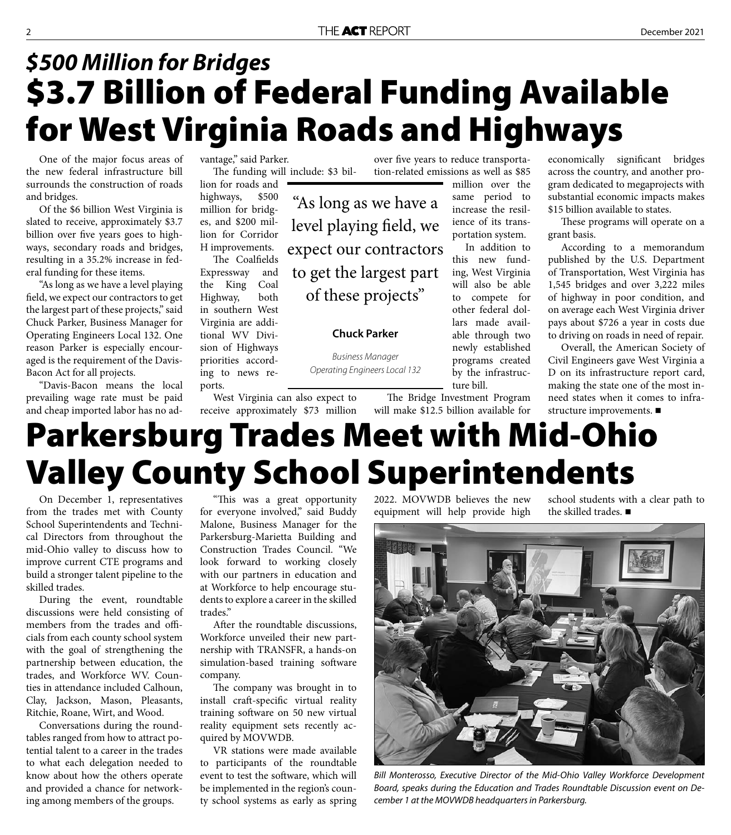"As long as we have a

level playing field, we

expect our contractors

to get the largest part

of these projects"

**Chuck Parker**

Business Manager Operating Engineers Local 132

### **\$3.7 Billion of Federal Funding Available for West Virginia Roads and Highways** *\$500 Million for Bridges*

One of the major focus areas of the new federal infrastructure bill surrounds the construction of roads and bridges.

Of the \$6 billion West Virginia is slated to receive, approximately \$3.7 billion over five years goes to highways, secondary roads and bridges, resulting in a 35.2% increase in federal funding for these items.

"As long as we have a level playing field, we expect our contractors to get the largest part of these projects," said Chuck Parker, Business Manager for Operating Engineers Local 132. One reason Parker is especially encouraged is the requirement of the Davis-Bacon Act for all projects.

"Davis-Bacon means the local prevailing wage rate must be paid and cheap imported labor has no advantage," said Parker.

The funding will include: \$3 billion for roads and

highways, \$500 million for bridges, and \$200 million for Corridor H improvements.

The Coalfields Expressway and the King Coal Highway, both in southern West Virginia are additional WV Division of Highways priorities according to news reports.

West Virginia can also expect to receive approximately \$73 million

over five years to reduce transportation-related emissions as well as \$85

million over the same period to increase the resilience of its transportation system.

In addition to this new funding, West Virginia will also be able to compete for other federal dollars made available through two newly established programs created by the infrastructure bill.

economically significant bridges across the country, and another program dedicated to megaprojects with substantial economic impacts makes \$15 billion available to states.

These programs will operate on a grant basis.

According to a memorandum published by the U.S. Department of Transportation, West Virginia has 1,545 bridges and over 3,222 miles of highway in poor condition, and on average each West Virginia driver pays about \$726 a year in costs due to driving on roads in need of repair.

Overall, the American Society of Civil Engineers gave West Virginia a D on its infrastructure report card, making the state one of the most inneed states when it comes to infrastructure improvements.

### will make \$12.5 billion available for **Parkersburg Trades Meet with Mid-Ohio Valley County School Superintendents**

On December 1, representatives from the trades met with County School Superintendents and Technical Directors from throughout the mid-Ohio valley to discuss how to improve current CTE programs and build a stronger talent pipeline to the skilled trades.

During the event, roundtable discussions were held consisting of members from the trades and officials from each county school system with the goal of strengthening the partnership between education, the trades, and Workforce WV. Counties in attendance included Calhoun, Clay, Jackson, Mason, Pleasants, Ritchie, Roane, Wirt, and Wood.

Conversations during the roundtables ranged from how to attract potential talent to a career in the trades to what each delegation needed to know about how the others operate and provided a chance for networking among members of the groups.

"This was a great opportunity for everyone involved," said Buddy Malone, Business Manager for the Parkersburg-Marietta Building and Construction Trades Council. "We look forward to working closely with our partners in education and at Workforce to help encourage students to explore a career in the skilled trades."

After the roundtable discussions, Workforce unveiled their new partnership with TRANSFR, a hands-on simulation-based training software company.

The company was brought in to install craft-specific virtual reality training software on 50 new virtual reality equipment sets recently acquired by MOVWDB.

VR stations were made available to participants of the roundtable event to test the software, which will be implemented in the region's county school systems as early as spring 2022. MOVWDB believes the new equipment will help provide high

The Bridge Investment Program

school students with a clear path to the skilled trades. ■



Bill Monterosso, Executive Director of the Mid-Ohio Valley Workforce Development Board, speaks during the Education and Trades Roundtable Discussion event on December 1 at the MOVWDB headquarters in Parkersburg.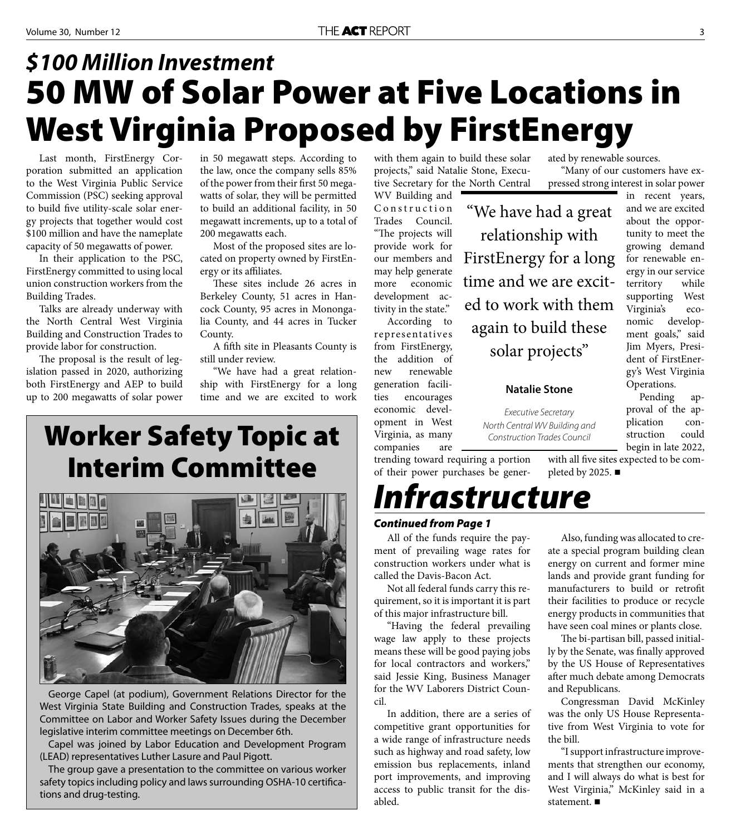### **50 MW of Solar Power at Five Locations in West Virginia Proposed by FirstEnergy** *\$100 Million Investment*

Last month, FirstEnergy Corporation submitted an application to the West Virginia Public Service Commission (PSC) seeking approval to build five utility-scale solar energy projects that together would cost \$100 million and have the nameplate capacity of 50 megawatts of power.

In their application to the PSC, FirstEnergy committed to using local union construction workers from the Building Trades.

Talks are already underway with the North Central West Virginia Building and Construction Trades to provide labor for construction.

The proposal is the result of legislation passed in 2020, authorizing both FirstEnergy and AEP to build up to 200 megawatts of solar power

in 50 megawatt steps. According to the law, once the company sells 85% of the power from their first 50 megawatts of solar, they will be permitted to build an additional facility, in 50 megawatt increments, up to a total of 200 megawatts each.

Most of the proposed sites are located on property owned by FirstEnergy or its affiliates.

These sites include 26 acres in Berkeley County, 51 acres in Hancock County, 95 acres in Monongalia County, and 44 acres in Tucker County.

A fifth site in Pleasants County is still under review.

"We have had a great relationship with FirstEnergy for a long time and we are excited to work

### **Worker Safety Topic at Interim Committee**



George Capel (at podium), Government Relations Director for the West Virginia State Building and Construction Trades, speaks at the Committee on Labor and Worker Safety Issues during the December legislative interim committee meetings on December 6th.

Capel was joined by Labor Education and Development Program (LEAD) representatives Luther Lasure and Paul Pigott.

The group gave a presentation to the committee on various worker safety topics including policy and laws surrounding OSHA-10 certifications and drug-testing.

with them again to build these solar projects," said Natalie Stone, Executive Secretary for the North Central

WV Building and Construction Trades Council. "The projects will provide work for our members and may help generate more economic development activity in the state." According to

representatives from FirstEnergy, the addition of new renewable generation facilities encourages economic development in West Virginia, as many companies are

trending toward requiring a portion of their power purchases be gener-

*Infrastructure*

#### *Continued from Page 1*

All of the funds require the payment of prevailing wage rates for construction workers under what is called the Davis-Bacon Act.

Not all federal funds carry this requirement, so it is important it is part of this major infrastructure bill.

"Having the federal prevailing wage law apply to these projects means these will be good paying jobs for local contractors and workers," said Jessie King, Business Manager for the WV Laborers District Council.

In addition, there are a series of competitive grant opportunities for a wide range of infrastructure needs such as highway and road safety, low emission bus replacements, inland port improvements, and improving access to public transit for the disabled.

ated by renewable sources. "Many of our customers have expressed strong interest in solar power

> in recent years, and we are excited about the opportunity to meet the growing demand for renewable energy in our service territory while supporting West Virginia's economic development goals," said Jim Myers, President of FirstEnergy's West Virginia Operations.

> Pending approval of the application construction could

"We have had a great relationship with FirstEnergy for a long time and we are excited to work with them again to build these solar projects"

#### **Natalie Stone**

Executive Secretary North Central WV Building and Construction Trades Council

with all five sites expected to be com-

begin in late 2022,

pleted by 2025.  $\blacksquare$ 

Also, funding was allocated to create a special program building clean energy on current and former mine lands and provide grant funding for manufacturers to build or retrofit their facilities to produce or recycle energy products in communities that have seen coal mines or plants close.

The bi-partisan bill, passed initially by the Senate, was finally approved by the US House of Representatives after much debate among Democrats and Republicans.

Congressman David McKinley was the only US House Representative from West Virginia to vote for the bill.

"I support infrastructure improvements that strengthen our economy, and I will always do what is best for West Virginia," McKinley said in a statement.